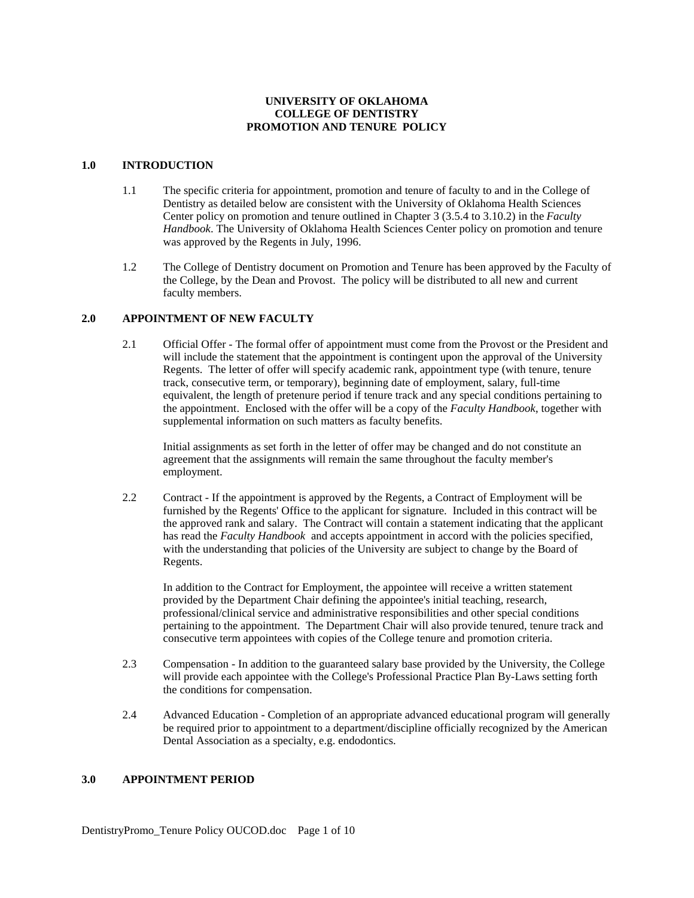## **UNIVERSITY OF OKLAHOMA COLLEGE OF DENTISTRY PROMOTION AND TENURE POLICY**

# **1.0 INTRODUCTION**

- 1.1 The specific criteria for appointment, promotion and tenure of faculty to and in the College of Dentistry as detailed below are consistent with the University of Oklahoma Health Sciences Center policy on promotion and tenure outlined in Chapter 3 (3.5.4 to 3.10.2) in the *Faculty Handbook*. The University of Oklahoma Health Sciences Center policy on promotion and tenure was approved by the Regents in July, 1996.
- 1.2 The College of Dentistry document on Promotion and Tenure has been approved by the Faculty of the College, by the Dean and Provost. The policy will be distributed to all new and current faculty members.

#### **2.0 APPOINTMENT OF NEW FACULTY**

2.1 Official Offer - The formal offer of appointment must come from the Provost or the President and will include the statement that the appointment is contingent upon the approval of the University Regents. The letter of offer will specify academic rank, appointment type (with tenure, tenure track, consecutive term, or temporary), beginning date of employment, salary, full-time equivalent, the length of pretenure period if tenure track and any special conditions pertaining to the appointment. Enclosed with the offer will be a copy of the *Faculty Handbook*, together with supplemental information on such matters as faculty benefits.

 Initial assignments as set forth in the letter of offer may be changed and do not constitute an agreement that the assignments will remain the same throughout the faculty member's employment.

2.2 Contract - If the appointment is approved by the Regents, a Contract of Employment will be furnished by the Regents' Office to the applicant for signature. Included in this contract will be the approved rank and salary. The Contract will contain a statement indicating that the applicant has read the *Faculty Handbook* and accepts appointment in accord with the policies specified, with the understanding that policies of the University are subject to change by the Board of Regents.

 In addition to the Contract for Employment, the appointee will receive a written statement provided by the Department Chair defining the appointee's initial teaching, research, professional/clinical service and administrative responsibilities and other special conditions pertaining to the appointment. The Department Chair will also provide tenured, tenure track and consecutive term appointees with copies of the College tenure and promotion criteria.

- 2.3 Compensation In addition to the guaranteed salary base provided by the University, the College will provide each appointee with the College's Professional Practice Plan By-Laws setting forth the conditions for compensation.
- 2.4 Advanced Education Completion of an appropriate advanced educational program will generally be required prior to appointment to a department/discipline officially recognized by the American Dental Association as a specialty, e.g. endodontics.

## **3.0 APPOINTMENT PERIOD**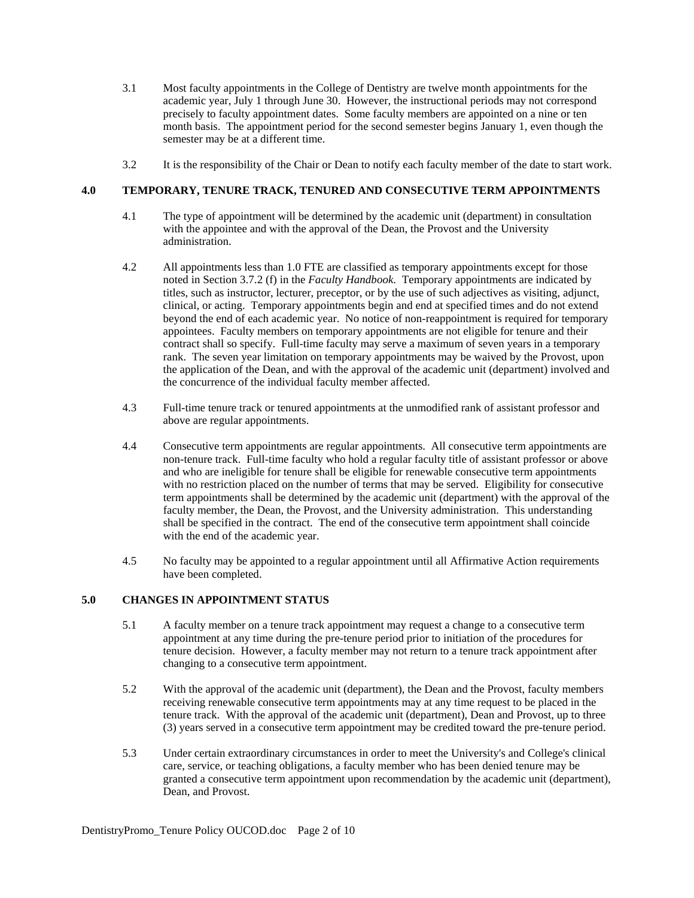- 3.1 Most faculty appointments in the College of Dentistry are twelve month appointments for the academic year, July 1 through June 30. However, the instructional periods may not correspond precisely to faculty appointment dates. Some faculty members are appointed on a nine or ten month basis. The appointment period for the second semester begins January 1, even though the semester may be at a different time.
- 3.2 It is the responsibility of the Chair or Dean to notify each faculty member of the date to start work.

# **4.0 TEMPORARY, TENURE TRACK, TENURED AND CONSECUTIVE TERM APPOINTMENTS**

- 4.1 The type of appointment will be determined by the academic unit (department) in consultation with the appointee and with the approval of the Dean, the Provost and the University administration.
- 4.2 All appointments less than 1.0 FTE are classified as temporary appointments except for those noted in Section 3.7.2 (f) in the *Faculty Handbook*. Temporary appointments are indicated by titles, such as instructor, lecturer, preceptor, or by the use of such adjectives as visiting, adjunct, clinical, or acting. Temporary appointments begin and end at specified times and do not extend beyond the end of each academic year. No notice of non-reappointment is required for temporary appointees. Faculty members on temporary appointments are not eligible for tenure and their contract shall so specify. Full-time faculty may serve a maximum of seven years in a temporary rank. The seven year limitation on temporary appointments may be waived by the Provost, upon the application of the Dean, and with the approval of the academic unit (department) involved and the concurrence of the individual faculty member affected.
- 4.3 Full-time tenure track or tenured appointments at the unmodified rank of assistant professor and above are regular appointments.
- 4.4 Consecutive term appointments are regular appointments. All consecutive term appointments are non-tenure track. Full-time faculty who hold a regular faculty title of assistant professor or above and who are ineligible for tenure shall be eligible for renewable consecutive term appointments with no restriction placed on the number of terms that may be served. Eligibility for consecutive term appointments shall be determined by the academic unit (department) with the approval of the faculty member, the Dean, the Provost, and the University administration. This understanding shall be specified in the contract. The end of the consecutive term appointment shall coincide with the end of the academic year.
- 4.5 No faculty may be appointed to a regular appointment until all Affirmative Action requirements have been completed.

## **5.0 CHANGES IN APPOINTMENT STATUS**

- 5.1 A faculty member on a tenure track appointment may request a change to a consecutive term appointment at any time during the pre-tenure period prior to initiation of the procedures for tenure decision. However, a faculty member may not return to a tenure track appointment after changing to a consecutive term appointment.
- 5.2 With the approval of the academic unit (department), the Dean and the Provost, faculty members receiving renewable consecutive term appointments may at any time request to be placed in the tenure track. With the approval of the academic unit (department), Dean and Provost, up to three (3) years served in a consecutive term appointment may be credited toward the pre-tenure period.
- 5.3 Under certain extraordinary circumstances in order to meet the University's and College's clinical care, service, or teaching obligations, a faculty member who has been denied tenure may be granted a consecutive term appointment upon recommendation by the academic unit (department), Dean, and Provost.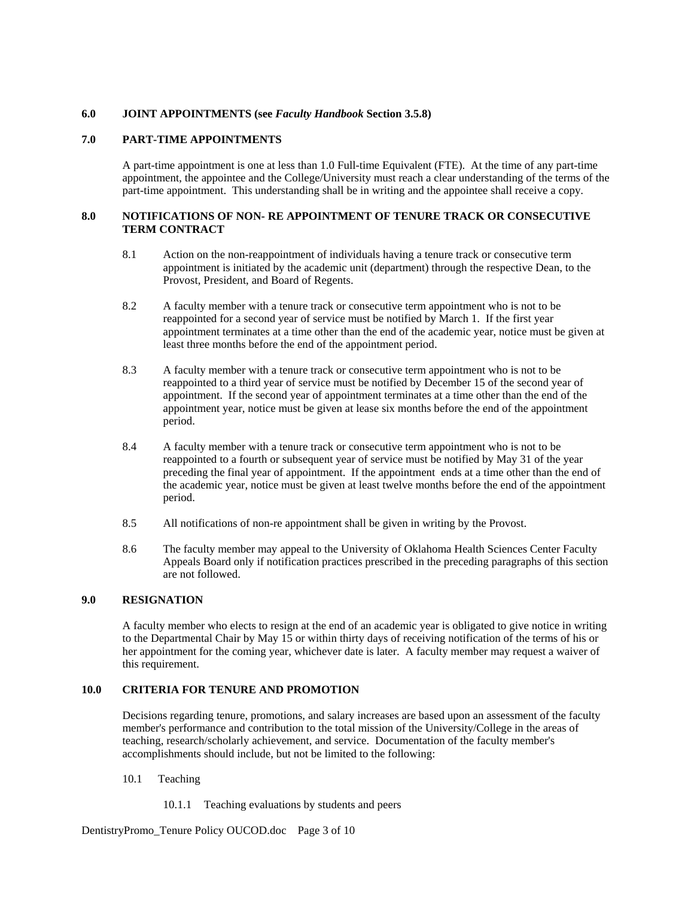#### **6.0 JOINT APPOINTMENTS (see** *Faculty Handbook* **Section 3.5.8)**

## **7.0 PART-TIME APPOINTMENTS**

A part-time appointment is one at less than 1.0 Full-time Equivalent (FTE). At the time of any part-time appointment, the appointee and the College/University must reach a clear understanding of the terms of the part-time appointment. This understanding shall be in writing and the appointee shall receive a copy.

### **8.0 NOTIFICATIONS OF NON- RE APPOINTMENT OF TENURE TRACK OR CONSECUTIVE TERM CONTRACT**

- 8.1 Action on the non-reappointment of individuals having a tenure track or consecutive term appointment is initiated by the academic unit (department) through the respective Dean, to the Provost, President, and Board of Regents.
- 8.2 A faculty member with a tenure track or consecutive term appointment who is not to be reappointed for a second year of service must be notified by March 1. If the first year appointment terminates at a time other than the end of the academic year, notice must be given at least three months before the end of the appointment period.
- 8.3 A faculty member with a tenure track or consecutive term appointment who is not to be reappointed to a third year of service must be notified by December 15 of the second year of appointment. If the second year of appointment terminates at a time other than the end of the appointment year, notice must be given at lease six months before the end of the appointment period.
- 8.4 A faculty member with a tenure track or consecutive term appointment who is not to be reappointed to a fourth or subsequent year of service must be notified by May 31 of the year preceding the final year of appointment. If the appointment ends at a time other than the end of the academic year, notice must be given at least twelve months before the end of the appointment period.
- 8.5 All notifications of non-re appointment shall be given in writing by the Provost.
- 8.6 The faculty member may appeal to the University of Oklahoma Health Sciences Center Faculty Appeals Board only if notification practices prescribed in the preceding paragraphs of this section are not followed.

#### **9.0 RESIGNATION**

 A faculty member who elects to resign at the end of an academic year is obligated to give notice in writing to the Departmental Chair by May 15 or within thirty days of receiving notification of the terms of his or her appointment for the coming year, whichever date is later. A faculty member may request a waiver of this requirement.

### **10.0 CRITERIA FOR TENURE AND PROMOTION**

Decisions regarding tenure, promotions, and salary increases are based upon an assessment of the faculty member's performance and contribution to the total mission of the University/College in the areas of teaching, research/scholarly achievement, and service. Documentation of the faculty member's accomplishments should include, but not be limited to the following:

## 10.1 Teaching

10.1.1 Teaching evaluations by students and peers

DentistryPromo\_Tenure Policy OUCOD.doc Page 3 of 10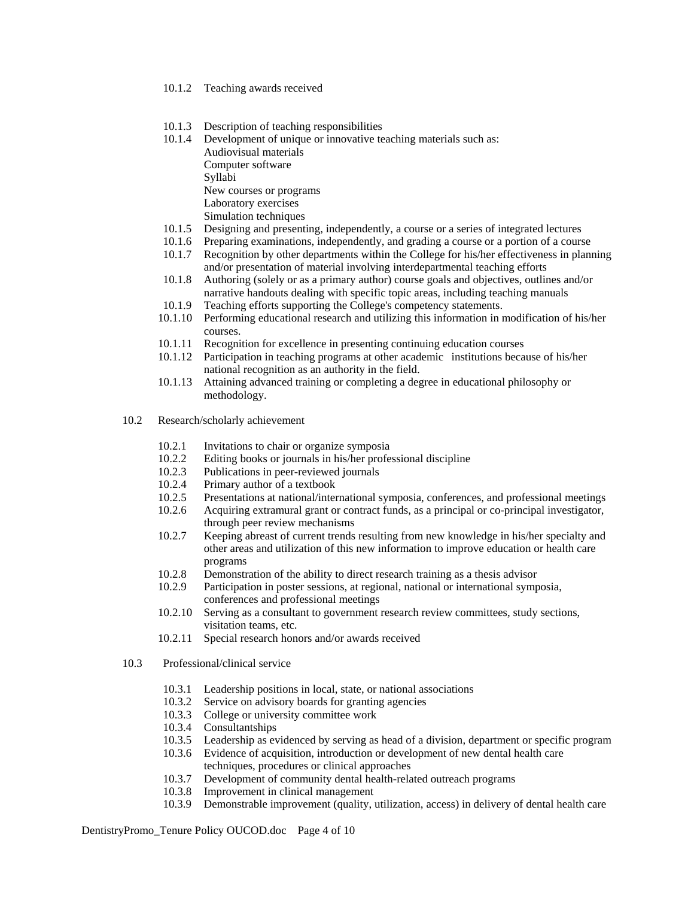- 10.1.2 Teaching awards received
- 10.1.3 Description of teaching responsibilities
- 10.1.4 Development of unique or innovative teaching materials such as: Audiovisual materials Computer software Syllabi

New courses or programs

- Laboratory exercises
- Simulation techniques<br>10.1.5 Designing and present
- 10.1.5 Designing and presenting, independently, a course or a series of integrated lectures
- 10.1.6 Preparing examinations, independently, and grading a course or a portion of a course
- 10.1.7 Recognition by other departments within the College for his/her effectiveness in planning and/or presentation of material involving interdepartmental teaching efforts
- 10.1.8 Authoring (solely or as a primary author) course goals and objectives, outlines and/or narrative handouts dealing with specific topic areas, including teaching manuals
- 10.1.9 Teaching efforts supporting the College's competency statements.<br>10.1.10 Performing educational research and utilizing this information in 1
- Performing educational research and utilizing this information in modification of his/her courses.
- 10.1.11 Recognition for excellence in presenting continuing education courses
- 10.1.12 Participation in teaching programs at other academic institutions because of his/her national recognition as an authority in the field.
- 10.1.13 Attaining advanced training or completing a degree in educational philosophy or methodology.
- 10.2 Research/scholarly achievement
	- 10.2.1 Invitations to chair or organize symposia
	- 10.2.2 Editing books or journals in his/her professional discipline
	- 10.2.3 Publications in peer-reviewed journals
	- 10.2.4 Primary author of a textbook
	- 10.2.5 Presentations at national/international symposia, conferences, and professional meetings
	- 10.2.6 Acquiring extramural grant or contract funds, as a principal or co-principal investigator, through peer review mechanisms
	- 10.2.7 Keeping abreast of current trends resulting from new knowledge in his/her specialty and other areas and utilization of this new information to improve education or health care programs
	- 10.2.8 Demonstration of the ability to direct research training as a thesis advisor
	- 10.2.9 Participation in poster sessions, at regional, national or international symposia, conferences and professional meetings
	- 10.2.10 Serving as a consultant to government research review committees, study sections, visitation teams, etc.
	- 10.2.11 Special research honors and/or awards received
- 10.3 Professional/clinical service
	- 10.3.1 Leadership positions in local, state, or national associations
	- 10.3.2 Service on advisory boards for granting agencies
	- 10.3.3 College or university committee work
	- 10.3.4 Consultantships
	- 10.3.5 Leadership as evidenced by serving as head of a division, department or specific program
	- 10.3.6 Evidence of acquisition, introduction or development of new dental health care techniques, procedures or clinical approaches
		- 10.3.7 Development of community dental health-related outreach programs
	- 10.3.8 Improvement in clinical management
	- 10.3.9 Demonstrable improvement (quality, utilization, access) in delivery of dental health care

DentistryPromo\_Tenure Policy OUCOD.doc Page 4 of 10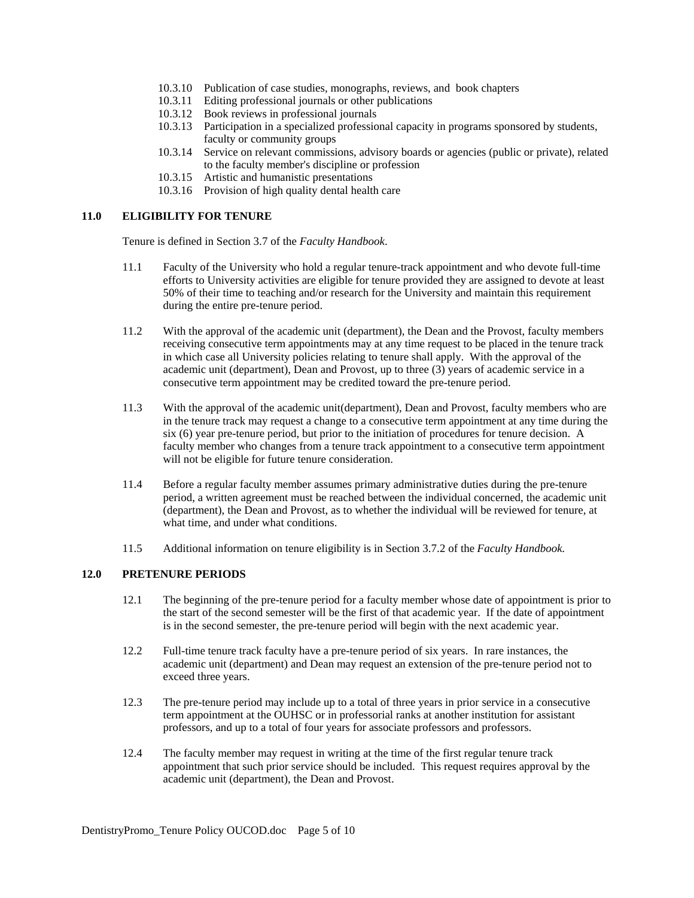- 10.3.10 Publication of case studies, monographs, reviews, and book chapters
- 10.3.11 Editing professional journals or other publications
- 10.3.12 Book reviews in professional journals
- 10.3.13 Participation in a specialized professional capacity in programs sponsored by students, faculty or community groups
- 10.3.14 Service on relevant commissions, advisory boards or agencies (public or private), related to the faculty member's discipline or profession
- 10.3.15 Artistic and humanistic presentations
- 10.3.16 Provision of high quality dental health care

#### **11.0 ELIGIBILITY FOR TENURE**

Tenure is defined in Section 3.7 of the *Faculty Handbook*.

- 11.1 Faculty of the University who hold a regular tenure-track appointment and who devote full-time efforts to University activities are eligible for tenure provided they are assigned to devote at least 50% of their time to teaching and/or research for the University and maintain this requirement during the entire pre-tenure period.
- 11.2 With the approval of the academic unit (department), the Dean and the Provost, faculty members receiving consecutive term appointments may at any time request to be placed in the tenure track in which case all University policies relating to tenure shall apply. With the approval of the academic unit (department), Dean and Provost, up to three (3) years of academic service in a consecutive term appointment may be credited toward the pre-tenure period.
- 11.3 With the approval of the academic unit(department), Dean and Provost, faculty members who are in the tenure track may request a change to a consecutive term appointment at any time during the six (6) year pre-tenure period, but prior to the initiation of procedures for tenure decision. A faculty member who changes from a tenure track appointment to a consecutive term appointment will not be eligible for future tenure consideration.
- 11.4 Before a regular faculty member assumes primary administrative duties during the pre-tenure period, a written agreement must be reached between the individual concerned, the academic unit (department), the Dean and Provost, as to whether the individual will be reviewed for tenure, at what time, and under what conditions.
- 11.5 Additional information on tenure eligibility is in Section 3.7.2 of the *Faculty Handbook.*

## **12.0 PRETENURE PERIODS**

- 12.1 The beginning of the pre-tenure period for a faculty member whose date of appointment is prior to the start of the second semester will be the first of that academic year. If the date of appointment is in the second semester, the pre-tenure period will begin with the next academic year.
- 12.2 Full-time tenure track faculty have a pre-tenure period of six years. In rare instances, the academic unit (department) and Dean may request an extension of the pre-tenure period not to exceed three years.
- 12.3 The pre-tenure period may include up to a total of three years in prior service in a consecutive term appointment at the OUHSC or in professorial ranks at another institution for assistant professors, and up to a total of four years for associate professors and professors.
- 12.4 The faculty member may request in writing at the time of the first regular tenure track appointment that such prior service should be included. This request requires approval by the academic unit (department), the Dean and Provost.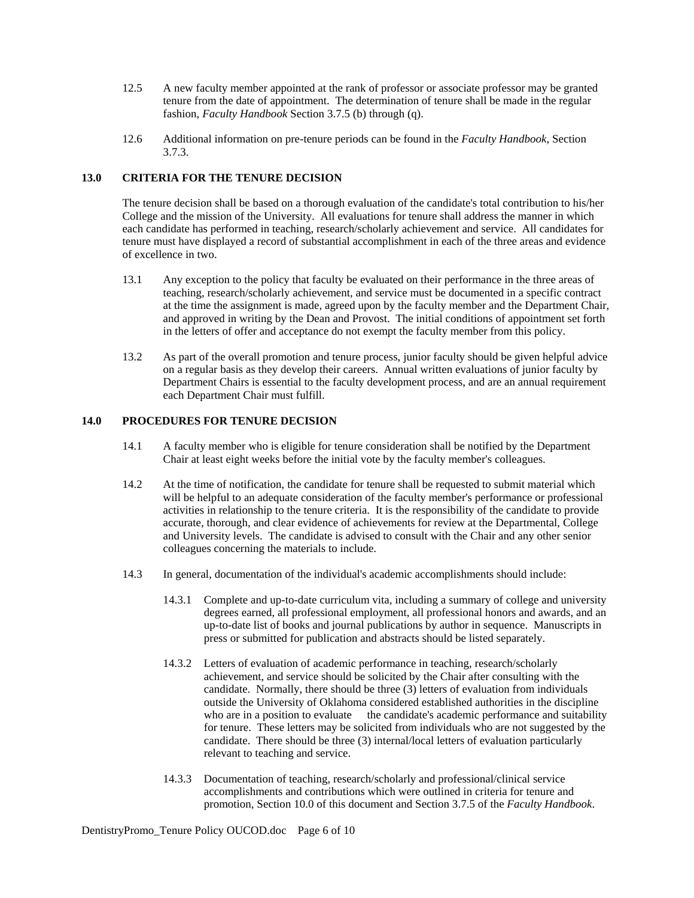- 12.5 A new faculty member appointed at the rank of professor or associate professor may be granted tenure from the date of appointment. The determination of tenure shall be made in the regular fashion, *Faculty Handbook* Section 3.7.5 (b) through (q).
- 12.6 Additional information on pre-tenure periods can be found in the *Faculty Handbook*, Section 3.7.3.

# **13.0 CRITERIA FOR THE TENURE DECISION**

The tenure decision shall be based on a thorough evaluation of the candidate's total contribution to his/her College and the mission of the University. All evaluations for tenure shall address the manner in which each candidate has performed in teaching, research/scholarly achievement and service. All candidates for tenure must have displayed a record of substantial accomplishment in each of the three areas and evidence of excellence in two.

- 13.1 Any exception to the policy that faculty be evaluated on their performance in the three areas of teaching, research/scholarly achievement, and service must be documented in a specific contract at the time the assignment is made, agreed upon by the faculty member and the Department Chair, and approved in writing by the Dean and Provost. The initial conditions of appointment set forth in the letters of offer and acceptance do not exempt the faculty member from this policy.
- 13.2 As part of the overall promotion and tenure process, junior faculty should be given helpful advice on a regular basis as they develop their careers. Annual written evaluations of junior faculty by Department Chairs is essential to the faculty development process, and are an annual requirement each Department Chair must fulfill.

## **14.0 PROCEDURES FOR TENURE DECISION**

- 14.1 A faculty member who is eligible for tenure consideration shall be notified by the Department Chair at least eight weeks before the initial vote by the faculty member's colleagues.
- 14.2 At the time of notification, the candidate for tenure shall be requested to submit material which will be helpful to an adequate consideration of the faculty member's performance or professional activities in relationship to the tenure criteria. It is the responsibility of the candidate to provide accurate, thorough, and clear evidence of achievements for review at the Departmental, College and University levels. The candidate is advised to consult with the Chair and any other senior colleagues concerning the materials to include.
- 14.3 In general, documentation of the individual's academic accomplishments should include:
	- 14.3.1 Complete and up-to-date curriculum vita, including a summary of college and university degrees earned, all professional employment, all professional honors and awards, and an up-to-date list of books and journal publications by author in sequence. Manuscripts in press or submitted for publication and abstracts should be listed separately.
	- 14.3.2 Letters of evaluation of academic performance in teaching, research/scholarly achievement, and service should be solicited by the Chair after consulting with the candidate. Normally, there should be three (3) letters of evaluation from individuals outside the University of Oklahoma considered established authorities in the discipline who are in a position to evaluate the candidate's academic performance and suitability for tenure. These letters may be solicited from individuals who are not suggested by the candidate. There should be three (3) internal/local letters of evaluation particularly relevant to teaching and service.
	- 14.3.3 Documentation of teaching, research/scholarly and professional/clinical service accomplishments and contributions which were outlined in criteria for tenure and promotion, Section 10.0 of this document and Section 3.7.5 of the *Faculty Handbook*.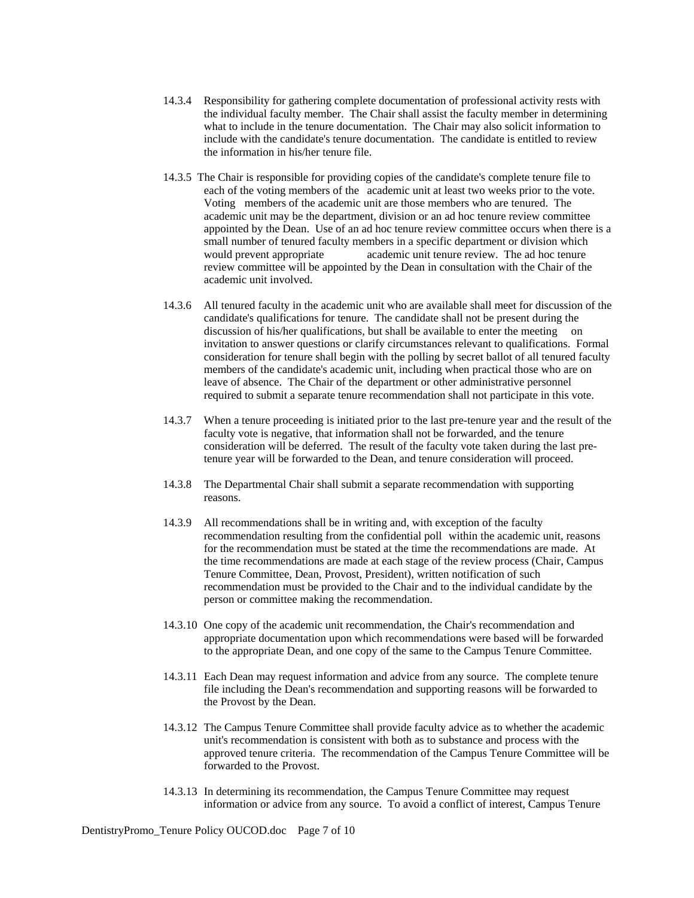- 14.3.4 Responsibility for gathering complete documentation of professional activity rests with the individual faculty member. The Chair shall assist the faculty member in determining what to include in the tenure documentation. The Chair may also solicit information to include with the candidate's tenure documentation. The candidate is entitled to review the information in his/her tenure file.
- 14.3.5 The Chair is responsible for providing copies of the candidate's complete tenure file to each of the voting members of the academic unit at least two weeks prior to the vote. Voting members of the academic unit are those members who are tenured. The academic unit may be the department, division or an ad hoc tenure review committee appointed by the Dean. Use of an ad hoc tenure review committee occurs when there is a small number of tenured faculty members in a specific department or division which would prevent appropriate academic unit tenure review. The ad hoc tenure review committee will be appointed by the Dean in consultation with the Chair of the academic unit involved.
- 14.3.6 All tenured faculty in the academic unit who are available shall meet for discussion of the candidate's qualifications for tenure. The candidate shall not be present during the discussion of his/her qualifications, but shall be available to enter the meeting on invitation to answer questions or clarify circumstances relevant to qualifications. Formal consideration for tenure shall begin with the polling by secret ballot of all tenured faculty members of the candidate's academic unit, including when practical those who are on leave of absence. The Chair of the department or other administrative personnel required to submit a separate tenure recommendation shall not participate in this vote.
- 14.3.7 When a tenure proceeding is initiated prior to the last pre-tenure year and the result of the faculty vote is negative, that information shall not be forwarded, and the tenure consideration will be deferred. The result of the faculty vote taken during the last pretenure year will be forwarded to the Dean, and tenure consideration will proceed.
- 14.3.8 The Departmental Chair shall submit a separate recommendation with supporting reasons.
- 14.3.9 All recommendations shall be in writing and, with exception of the faculty recommendation resulting from the confidential poll within the academic unit, reasons for the recommendation must be stated at the time the recommendations are made. At the time recommendations are made at each stage of the review process (Chair, Campus Tenure Committee, Dean, Provost, President), written notification of such recommendation must be provided to the Chair and to the individual candidate by the person or committee making the recommendation.
- 14.3.10 One copy of the academic unit recommendation, the Chair's recommendation and appropriate documentation upon which recommendations were based will be forwarded to the appropriate Dean, and one copy of the same to the Campus Tenure Committee.
- 14.3.11 Each Dean may request information and advice from any source. The complete tenure file including the Dean's recommendation and supporting reasons will be forwarded to the Provost by the Dean.
- 14.3.12 The Campus Tenure Committee shall provide faculty advice as to whether the academic unit's recommendation is consistent with both as to substance and process with the approved tenure criteria. The recommendation of the Campus Tenure Committee will be forwarded to the Provost.
- 14.3.13 In determining its recommendation, the Campus Tenure Committee may request information or advice from any source. To avoid a conflict of interest, Campus Tenure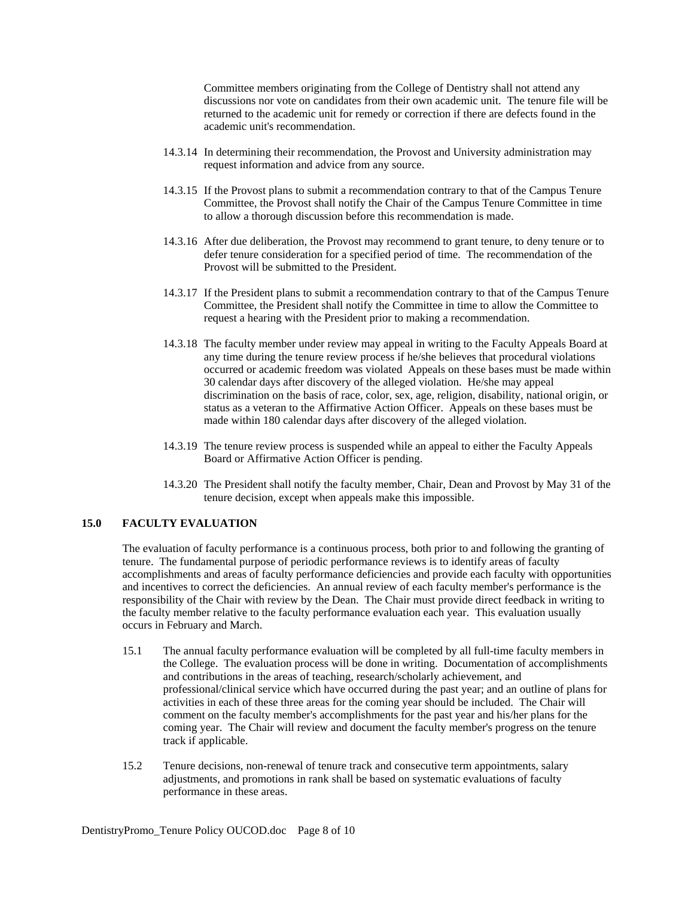Committee members originating from the College of Dentistry shall not attend any discussions nor vote on candidates from their own academic unit. The tenure file will be returned to the academic unit for remedy or correction if there are defects found in the academic unit's recommendation.

- 14.3.14 In determining their recommendation, the Provost and University administration may request information and advice from any source.
- 14.3.15 If the Provost plans to submit a recommendation contrary to that of the Campus Tenure Committee, the Provost shall notify the Chair of the Campus Tenure Committee in time to allow a thorough discussion before this recommendation is made.
- 14.3.16 After due deliberation, the Provost may recommend to grant tenure, to deny tenure or to defer tenure consideration for a specified period of time. The recommendation of the Provost will be submitted to the President.
- 14.3.17 If the President plans to submit a recommendation contrary to that of the Campus Tenure Committee, the President shall notify the Committee in time to allow the Committee to request a hearing with the President prior to making a recommendation.
- 14.3.18 The faculty member under review may appeal in writing to the Faculty Appeals Board at any time during the tenure review process if he/she believes that procedural violations occurred or academic freedom was violated Appeals on these bases must be made within 30 calendar days after discovery of the alleged violation. He/she may appeal discrimination on the basis of race, color, sex, age, religion, disability, national origin, or status as a veteran to the Affirmative Action Officer. Appeals on these bases must be made within 180 calendar days after discovery of the alleged violation.
- 14.3.19 The tenure review process is suspended while an appeal to either the Faculty Appeals Board or Affirmative Action Officer is pending.
- 14.3.20 The President shall notify the faculty member, Chair, Dean and Provost by May 31 of the tenure decision, except when appeals make this impossible.

# **15.0 FACULTY EVALUATION**

 The evaluation of faculty performance is a continuous process, both prior to and following the granting of tenure. The fundamental purpose of periodic performance reviews is to identify areas of faculty accomplishments and areas of faculty performance deficiencies and provide each faculty with opportunities and incentives to correct the deficiencies. An annual review of each faculty member's performance is the responsibility of the Chair with review by the Dean. The Chair must provide direct feedback in writing to the faculty member relative to the faculty performance evaluation each year. This evaluation usually occurs in February and March.

- 15.1 The annual faculty performance evaluation will be completed by all full-time faculty members in the College. The evaluation process will be done in writing. Documentation of accomplishments and contributions in the areas of teaching, research/scholarly achievement, and professional/clinical service which have occurred during the past year; and an outline of plans for activities in each of these three areas for the coming year should be included. The Chair will comment on the faculty member's accomplishments for the past year and his/her plans for the coming year. The Chair will review and document the faculty member's progress on the tenure track if applicable.
- 15.2 Tenure decisions, non-renewal of tenure track and consecutive term appointments, salary adjustments, and promotions in rank shall be based on systematic evaluations of faculty performance in these areas.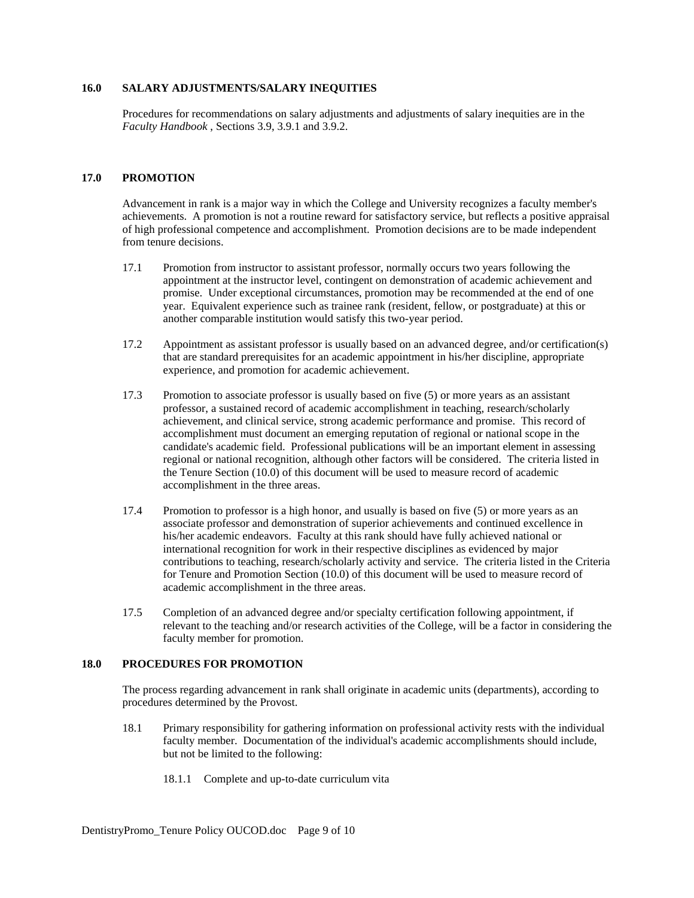## **16.0 SALARY ADJUSTMENTS/SALARY INEQUITIES**

 Procedures for recommendations on salary adjustments and adjustments of salary inequities are in the *Faculty Handbook* , Sections 3.9, 3.9.1 and 3.9.2.

## **17.0 PROMOTION**

 Advancement in rank is a major way in which the College and University recognizes a faculty member's achievements. A promotion is not a routine reward for satisfactory service, but reflects a positive appraisal of high professional competence and accomplishment. Promotion decisions are to be made independent from tenure decisions.

- 17.1 Promotion from instructor to assistant professor, normally occurs two years following the appointment at the instructor level, contingent on demonstration of academic achievement and promise. Under exceptional circumstances, promotion may be recommended at the end of one year. Equivalent experience such as trainee rank (resident, fellow, or postgraduate) at this or another comparable institution would satisfy this two-year period.
- 17.2 Appointment as assistant professor is usually based on an advanced degree, and/or certification(s) that are standard prerequisites for an academic appointment in his/her discipline, appropriate experience, and promotion for academic achievement.
- 17.3 Promotion to associate professor is usually based on five (5) or more years as an assistant professor, a sustained record of academic accomplishment in teaching, research/scholarly achievement, and clinical service, strong academic performance and promise. This record of accomplishment must document an emerging reputation of regional or national scope in the candidate's academic field. Professional publications will be an important element in assessing regional or national recognition, although other factors will be considered. The criteria listed in the Tenure Section (10.0) of this document will be used to measure record of academic accomplishment in the three areas.
- 17.4 Promotion to professor is a high honor, and usually is based on five (5) or more years as an associate professor and demonstration of superior achievements and continued excellence in his/her academic endeavors. Faculty at this rank should have fully achieved national or international recognition for work in their respective disciplines as evidenced by major contributions to teaching, research/scholarly activity and service. The criteria listed in the Criteria for Tenure and Promotion Section (10.0) of this document will be used to measure record of academic accomplishment in the three areas.
- 17.5 Completion of an advanced degree and/or specialty certification following appointment, if relevant to the teaching and/or research activities of the College, will be a factor in considering the faculty member for promotion.

#### **18.0 PROCEDURES FOR PROMOTION**

 The process regarding advancement in rank shall originate in academic units (departments), according to procedures determined by the Provost.

- 18.1 Primary responsibility for gathering information on professional activity rests with the individual faculty member. Documentation of the individual's academic accomplishments should include, but not be limited to the following:
	- 18.1.1 Complete and up-to-date curriculum vita